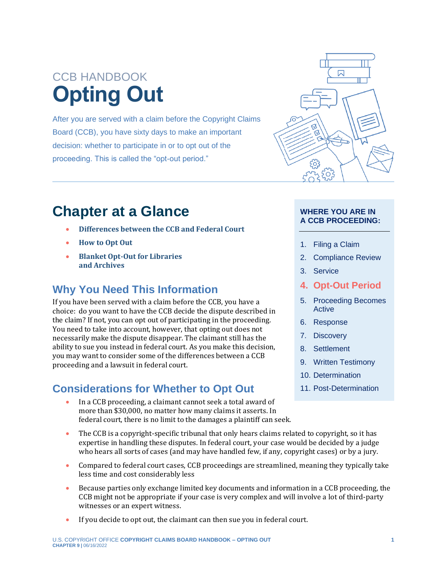# CCB HANDBOOK **Opting Out**

After you are served with a claim before the Copyright Claims Board (CCB), you have sixty days to make an important decision: whether to participate in or to opt out of the proceeding. This is called the "opt-out period."



- **[Differences between the CCB and Federal Court](#page-2-0)**
- **[How to Opt Out](#page-5-0)**
- **[Blanket Opt-Out for Libraries](#page-7-0)  [and Archives](#page-7-0)**

## **Why You Need This Information**

If you have been served with a claim before the CCB, you have a choice: do you want to have the CCB decide the dispute described in the claim? If not, you can opt out of participating in the proceeding. You need to take into account, however, that opting out does not necessarily make the dispute disappear. The claimant still has the ability to sue you instead in federal court. As you make this decision, you may want to consider some of the differences between a CCB proceeding and a lawsuit in federal court.

# **Considerations for Whether to Opt Out**



### **WHERE YOU ARE IN A CCB PROCEEDING:**

- 1. Filing a Claim
- 2. Compliance Review
- 3. Service
- **4. Opt-Out Period**
- 5. Proceeding Becomes Active
- 6. Response
- 7. Discovery
- 8. Settlement
- 9. Written Testimony
- 10. Determination
- 11. Post-Determination
- In a CCB proceeding, a claimant cannot seek a total award of more than \$30,000, no matter how many claims it asserts. In federal court, there is no limit to the damages a plaintiff can seek.
- The CCB is a copyright-specific tribunal that only hears claims related to copyright, so it has expertise in handling these disputes. In federal court, your case would be decided by a judge who hears all sorts of cases (and may have handled few, if any, copyright cases) or by a jury.
- Compared to federal court cases, CCB proceedings are streamlined, meaning they typically take less time and cost considerably less
- Because parties only exchange limited key documents and information in a CCB proceeding, the CCB might not be appropriate if your case is very complex and will involve a lot of third-party witnesses or an expert witness.
- If you decide to opt out, the claimant can then sue you in federal court.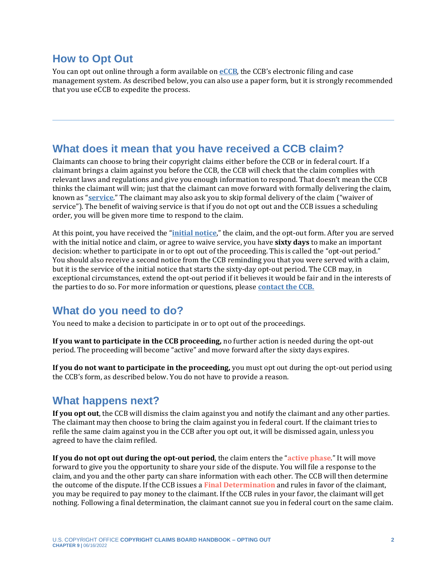## **How to Opt Out**

You can opt out online through a form available on **[eCCB](https://dockets.ccb.gov/)**, the CCB's electronic filing and case management system. As described below, you can also use a paper form, but it is strongly recommended that you use eCCB to expedite the process.

## **What does it mean that you have received a CCB claim?**

Claimants can choose to bring their copyright claims either before the CCB or in federal court. If a claimant brings a claim against you before the CCB, the CCB will check that the claim complies with relevant laws and regulations and give you enough information to respond. That doesn't mean the CCB thinks the claimant will win; just that the claimant can move forward with formally delivering the claim, known as "**[service](https://ccb.gov/handbook/Service.pdf)**." The claimant may also ask you to skip formal delivery of the claim ("waiver of service"). The benefit of waiving service is that if you do not opt out and the CCB issues a scheduling order, you will be given more time to respond to the claim.

At this point, you have received the "**[initial notice](https://ccb.gov/handbook/Service.pdf)**," the claim, and the opt-out form. After you are served with the initial notice and claim, or agree to waive service, you have **sixty days** to make an important decision: whether to participate in or to opt out of the proceeding. This is called the "opt-out period." You should also receive a second notice from the CCB reminding you that you were served with a claim, but it is the service of the initial notice that starts the sixty-day opt-out period. The CCB may, in exceptional circumstances, extend the opt-out period if it believes it would be fair and in the interests of the parties to do so. For more information or questions, please **[contact the CCB.](https://ccb.gov/contact/)**

## **What do you need to do?**

You need to make a decision to participate in or to opt out of the proceedings.

**If you want to participate in the CCB proceeding,** no further action is needed during the opt-out period. The proceeding will become "active" and move forward after the sixty days expires.

**If you do not want to participate in the proceeding,** you must opt out during the opt-out period using the CCB's form, as described below. You do not have to provide a reason.

## **What happens next?**

**If you opt out**, the CCB will dismiss the claim against you and notify the claimant and any other parties. The claimant may then choose to bring the claim against you in federal court. If the claimant tries to refile the same claim against you in the CCB after you opt out, it will be dismissed again, unless you agreed to have the claim refiled.

<span id="page-1-1"></span><span id="page-1-0"></span>**If you do not opt out during the opt-out period**, the claim enters the "**[active phase](#page-9-0)**." It will move forward to give you the opportunity to share your side of the dispute. You will file a response to the claim, and you and the other party can share information with each other. The CCB will then determine the outcome of the dispute. If the CCB issues a **[Final Determination](#page-9-0)** and rules in favor of the claimant, you may be required to pay money to the claimant. If the CCB rules in your favor, the claimant will get nothing. Following a final determination, the claimant cannot sue you in federal court on the same claim.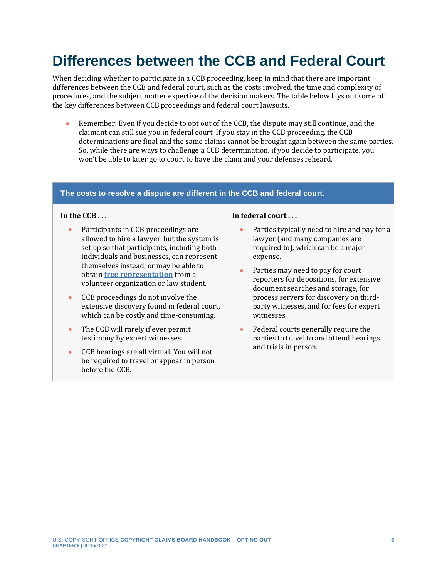# <span id="page-2-0"></span>**Differences between the CCB and Federal Court**

When deciding whether to participate in a CCB proceeding, keep in mind that there are important differences between the CCB and federal court, such as the costs involved, the time and complexity of procedures, and the subject matter expertise of the decision makers. The table below lays out some of the key differences between CCB proceedings and federal court lawsuits.

• Remember: Even if you decide to opt out of the CCB, the dispute may still continue, and the claimant can still sue you in federal court. If you stay in the CCB proceeding, the CCB determinations are final and the same claims cannot be brought again between the same parties. So, while there are ways to challenge a CCB determination, if you decide to participate, you won't be able to later go to court to have the claim and your defenses reheard.

#### **The costs to resolve a dispute are different in the CCB and federal court.**

#### **In the CCB . . .**

- Participants in CCB proceedings are allowed to hire a lawyer, but the system is set up so that participants, including both individuals and businesses, can represent themselves instead, or may be able to obtain **[free representation](https://ccb.gov/pro-bono-assistance)** from a volunteer organization or law student.
- CCB proceedings do not involve the extensive discovery found in federal court, which can be costly and time-consuming.
- The CCB will rarely if ever permit testimony by expert witnesses.
- CCB hearings are all virtual. You will not be required to travel or appear in person before the CCB.

#### **In federal court . . .**

- Parties typically need to hire and pay for a lawyer (and many companies are required to), which can be a major expense.
- Parties may need to pay for court reporters for depositions, for extensive document searches and storage, for process servers for discovery on thirdparty witnesses, and for fees for expert witnesses.
- Federal courts generally require the parties to travel to and attend hearings and trials in person.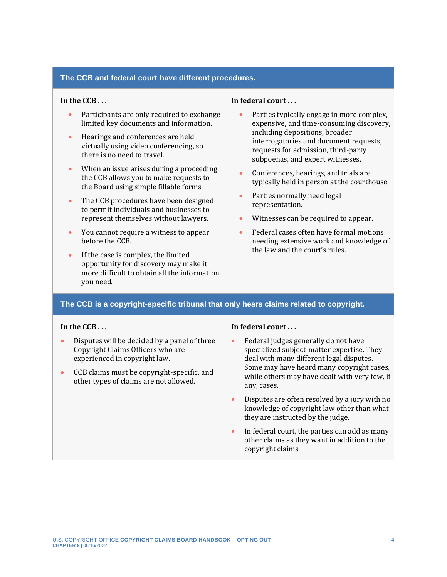#### **The CCB and federal court have different procedures.**

#### **In the CCB . . .**

- Participants are only required to exchange limited key documents and information.
- Hearings and conferences are held virtually using video conferencing, so there is no need to travel.
- When an issue arises during a proceeding, the CCB allows you to make requests to the Board using simple fillable forms.
- The CCB procedures have been designed to permit individuals and businesses to represent themselves without lawyers.
- You cannot require a witness to appear before the CCB.
- If the case is complex, the limited opportunity for discovery may make it more difficult to obtain all the information you need.

#### **In federal court . . .**

- Parties typically engage in more complex, expensive, and time-consuming discovery, including depositions, broader interrogatories and document requests, requests for admission, third-party subpoenas, and expert witnesses.
- Conferences, hearings, and trials are typically held in person at the courthouse.
- Parties normally need legal representation.
- Witnesses can be required to appear.
- Federal cases often have formal motions needing extensive work and knowledge of the law and the court's rules.

#### **The CCB is a copyright-specific tribunal that only hears claims related to copyright.**

#### **In the CCB . . .**

- Disputes will be decided by a panel of three Copyright Claims Officers who are experienced in copyright law.
- CCB claims must be copyright-specific, and other types of claims are not allowed.

#### **In federal court . . .**

- Federal judges generally do not have specialized subject-matter expertise. They deal with many different legal disputes. Some may have heard many copyright cases, while others may have dealt with very few, if any, cases.
- Disputes are often resolved by a jury with no knowledge of copyright law other than what they are instructed by the judge.
- In federal court, the parties can add as many other claims as they want in addition to the copyright claims.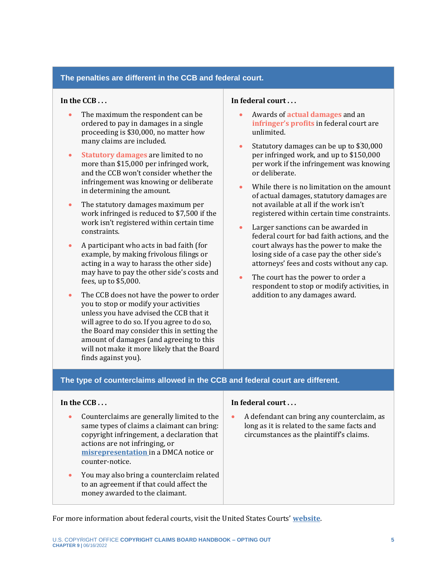#### **The penalties are different in the CCB and federal court.**

#### **In the CCB . . .**

- The maximum the respondent can be ordered to pay in [damages](https://ccb.gov/) in a single proceeding is \$30,000, no matter how many claims are included.
- <span id="page-4-2"></span>• **[Statutory damages](#page-9-0)** are limited to no more than \$15,000 per infringed work, and the CCB won't consider whether the infringement was knowing or deliberate in determining the amount.
- The statutory damages maximum per work infringed is reduced to \$7,500 if the work isn't registered within certain time constraints.
- A participant who acts in bad faith (for example, by making frivolous filings or acting in a way to harass the other side) may have to pay the other side's costs and fees, up to \$5,000.
- The CCB does not have the power to order you to stop or modify your activities unless you have advised the CCB that it will agree to do so. If you agree to do so, the Board may consider this in setting the amount of damages (and agreeing to this will not make it more likely that the Board finds against you).

#### **In federal court . . .**

- <span id="page-4-1"></span><span id="page-4-0"></span>• Awards of **[actual damages](#page-9-0)** and an **[infringer's profits](#page-9-0)** in federal court are unlimited.
- Statutory damages can be up to \$30,000 per infringed work, and up to \$150,000 per work if the infringement was knowing or deliberate.
- While there is no limitation on the amount of actual damages, statutory damages are not available at all if the work isn't registered within certain time constraints.
- Larger sanctions can be awarded in federal court for bad faith actions, and the court always has the power to make the losing side of a case pay the other side's attorneys' fees and costs without any cap.
- The court has the power to order a respondent to stop or modify activities, in addition to any damages award.

#### **The type of counterclaims allowed in the CCB and federal court are different.**

#### **In the CCB . . .**

- Counterclaims are generally limited to the same types of claims a claimant can bring: copyright infringement, a declaration that actions are not infringing, or **[misrepresentation](https://ccb.gov/handbook/Misrepresentation-Claim.pdf)** in a DMCA notice or counter-notice.
- You may also bring a counterclaim related to an agreement if that could affect the money awarded to the claimant.

#### **In federal court . . .**

• A defendant can bring any counterclaim, as long as it is related to the same facts and circumstances as the plaintiff's claims.

For more information about federal courts, visit the United States Courts' **[website](https://www.uscourts.gov/)**.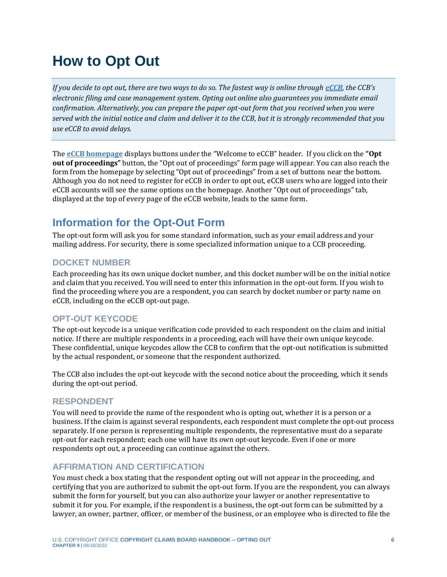# <span id="page-5-0"></span>**How to Opt Out**

*If you decide to opt out, there are two ways to do so. The fastest way is online through [eCCB](https://ccb.gov/handbook/eCCB.pdf), the CCB's electronic filing and case management system. Opting out online also guarantees you immediate email confirmation. Alternatively, you can prepare the paper opt-out form that you received when you were served with the initial notice and claim and deliver it to the CCB, but it is strongly recommended that you use eCCB to avoid delays.*

The **[eCCB homepage](https://dockets.ccb.gov/)** displays buttons under the "Welcome to eCCB" header. If you click on the **"Opt out of proceedings"** button, the "Opt out of proceedings" form page will appear. You can also reach the form from the homepage by selecting "Opt out of proceedings" from a set of buttons near the bottom. Although you do not need to register for eCCB in order to opt out, eCCB users who are logged into their eCCB accounts will see the same options on the homepage. Another "Opt out of proceedings" tab, displayed at the top of every page of the eCCB website, leads to the same form.

# **Information for the Opt-Out Form**

The opt-out form will ask you for some standard information, such as your email address and your mailing address. For security, there is some specialized information unique to a CCB proceeding.

### **DOCKET NUMBER**

Each proceeding has its own unique docket number, and this docket number will be on the initial notice and claim that you received. You will need to enter this information in the opt-out form. If you wish to find the proceeding where you are a respondent, you can search by docket number or party name on eCCB, including on the eCCB opt-out page.

### **OPT-OUT KEYCODE**

The opt-out keycode is a unique verification code provided to each respondent on the claim and initial notice. If there are multiple respondents in a proceeding, each will have their own unique keycode. These confidential, unique keycodes allow the CCB to confirm that the opt-out notification is submitted by the actual respondent, or someone that the respondent authorized.

The CCB also includes the opt-out keycode with the second notice about the proceeding, which it sends during the opt-out period.

### **RESPONDENT**

You will need to provide the name of the respondent who is opting out, whether it is a person or a business. If the claim is against several respondents, each respondent must complete the opt-out process separately. If one person is representing multiple respondents, the representative must do a separate opt-out for each respondent; each one will have its own opt-out keycode. Even if one or more respondents opt out, a proceeding can continue against the others.

## **AFFIRMATION AND CERTIFICATION**

You must check a box stating that the respondent opting out will not appear in the proceeding, and certifying that you are authorized to submit the opt-out form. If you are the respondent, you can always submit the form for yourself, but you can also authorize your lawyer or another representative to submit it for you. For example, if the respondent is a business, the opt-out form can be submitted by a lawyer, an owner, partner, officer, or member of the business, or an employee who is directed to file the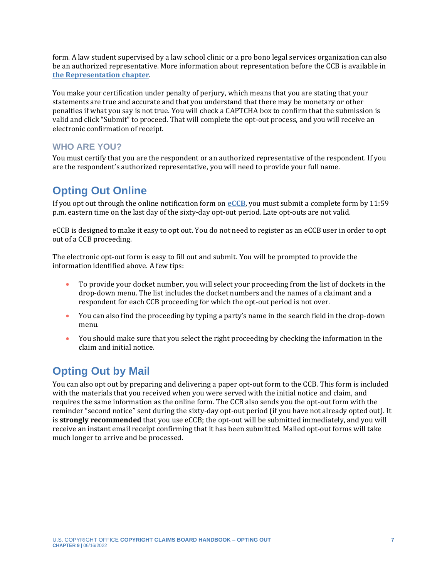form. A law student supervised by a law school clinic or a pro bono legal services organization can also be an authorized representative. More information about representation before the CCB is available in **[the Representation chapter](https://ccb.gov/handbook/Representation.pdf)**.

You make your certification under penalty of perjury, which means that you are stating that your statements are true and accurate and that you understand that there may be monetary or other penalties if what you say is not true. You will check a CAPTCHA box to confirm that the submission is valid and click "Submit" to proceed. That will complete the opt-out process, and you will receive an electronic confirmation of receipt.

## **WHO ARE YOU?**

You must certify that you are the respondent or an authorized representative of the respondent. If you are the respondent's authorized representative, you will need to provide your full name.

## **Opting Out Online**

If you opt out through the online notification form on **[eCCB](https://dockets.ccb.gov/optOut/index)**, you must submit a complete form by 11:59 p.m. eastern time on the last day of the sixty-day opt-out period. Late opt-outs are not valid.

eCCB is designed to make it easy to opt out. You do not need to register as an eCCB user in order to opt out of a CCB proceeding.

The electronic opt-out form is easy to fill out and submit. You will be prompted to provide the information identified above. A few tips:

- To provide your docket number, you will select your proceeding from the list of dockets in the drop-down menu. The list includes the docket numbers and the names of a claimant and a respondent for each CCB proceeding for which the opt-out period is not over.
- You can also find the proceeding by typing a party's name in the search field in the drop-down menu.
- You should make sure that you select the right proceeding by checking the information in the claim and initial notice.

## **Opting Out by Mail**

You can also opt out by preparing and delivering a paper opt-out form to the CCB. This form is included with the materials that you received when you were served with the initial notice and claim, and requires the same information as the online form. The CCB also sends you the opt-out form with the reminder "second notice" sent during the sixty-day opt-out period (if you have not already opted out). It is **strongly recommended** that you use eCCB; the opt-out will be submitted immediately, and you will receive an instant email receipt confirming that it has been submitted. Mailed opt-out forms will take much longer to arrive and be processed.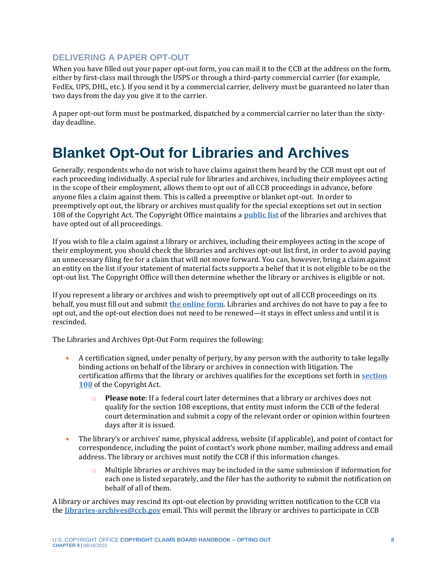## **DELIVERING A PAPER OPT-OUT**

When you have filled out your paper opt-out form, you can mail it to the CCB at the address on the form, either by first-class mail through the USPS or through a third-party commercial carrier (for example, FedEx, UPS, DHL, etc.). If you send it by a commercial carrier, delivery must be guaranteed no later than two days from the day you give it to the carrier.

A paper opt-out form must be postmarked, dispatched by a commercial carrier no later than the sixtyday deadline.

# <span id="page-7-0"></span>**Blanket Opt-Out for Libraries and Archives**

Generally, respondents who do not wish to have claims against them heard by the CCB must opt out of each proceeding individually. A special rule for libraries and archives, including their employees acting in the scope of their employment, allows them to opt out of all CCB proceedings in advance, before anyone files a claim against them. This is called a preemptive or blanket opt-out. In order to preemptively opt out, the library or archives must qualify for the special exceptions set out in section 108 of the Copyright Act. The Copyright Office maintains a **[public list](https://ccb.gov/libraries-archives-opt-out)** of the libraries and archives that have opted out of all proceedings.

If you wish to file a claim against a library or archives, including their employees acting in the scope of their employment, you should check the libraries and archives opt-out list first, in order to avoid paying an unnecessary filing fee for a claim that will not move forward. You can, however, bring a claim against an entity on the list if your statement of material facts supports a belief that it is not eligible to be on the opt-out list. The Copyright Office will then determine whether the library or archives is eligible or not.

If you represent a library or archives and wish to preemptively opt out of all CCB proceedings on its behalf, you must fill out and submit **the [online](https://ccb.gov/libraries-archives-opt-out/images/opt-out-form.pdf) form**. Libraries and archives do not have to pay a fee to opt out, and the opt-out election does not need to be renewed—it stays in effect unless and until it is rescinded.

The Libraries and Archives Opt-Out Form requires the following:

- A certification signed, under penalty of perjury, by any person with the authority to take legally binding actions on behalf of the library or archives in connection with litigation. The certification affirms that the library or archives qualifies for the exceptions set forth in **[section](https://copyright.gov/title17/92chap1.html#108)  [108](https://copyright.gov/title17/92chap1.html#108)** of the Copyright Act.
	- **Please note**: If a federal court later determines that a library or archives does not qualify for the section 108 exceptions, that entity must inform the CCB of the federal court determination and submit a copy of the relevant order or opinion within fourteen days after it is issued.
- The library's or archives' name, physical address, website (if applicable), and point of contact for correspondence, including the point of contact's work phone number, mailing address and email address. The library or archives must notify the CCB if this information changes.
	- $\circ$  Multiple libraries or archives may be included in the same submission if information for each one is listed separately, and the filer has the authority to submit the notification on behalf of all of them.

A library or archives may rescind its opt-out election by providing written notification to the CCB via the **[libraries-archives@ccb.gov](mailto:libraries-archives@ccb.gov)** email. This will permit the library or archives to participate in CCB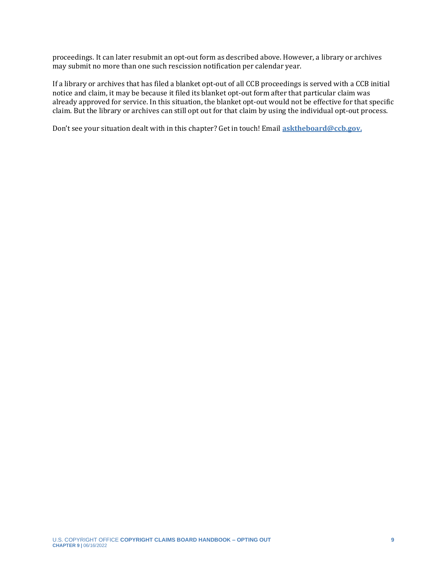proceedings. It can later resubmit an opt-out form as described above. However, a library or archives may submit no more than one such rescission notification per calendar year.

If a library or archives that has filed a blanket opt-out of all CCB proceedings is served with a CCB initial notice and claim, it may be because it filed its blanket opt-out form after that particular claim was already approved for service. In this situation, the blanket opt-out would not be effective for that specific claim. But the library or archives can still opt out for that claim by using the individual opt-out process.

Don't see your situation dealt with in this chapter? Get in touch! Email **[asktheboard@ccb.gov.](mailto:asktheboard@ccb.gov)**